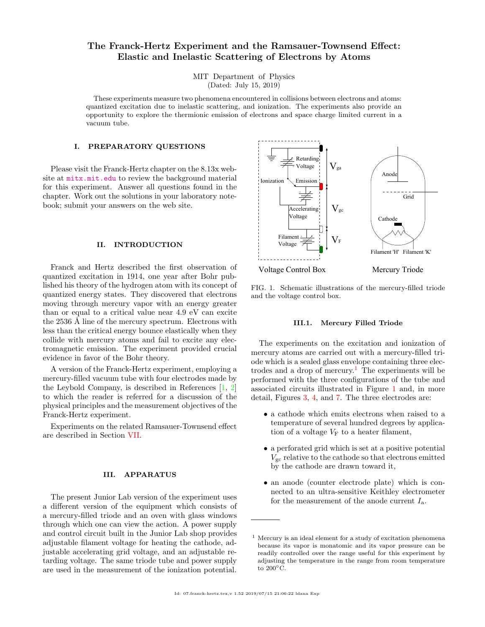# The Franck-Hertz Experiment and the Ramsauer-Townsend Effect: Elastic and Inelastic Scattering of Electrons by Atoms

MIT Department of Physics (Dated: July 15, 2019)

These experiments measure two phenomena encountered in collisions between electrons and atoms: quantized excitation due to inelastic scattering, and ionization. The experiments also provide an opportunity to explore the thermionic emission of electrons and space charge limited current in a vacuum tube.

#### I. PREPARATORY QUESTIONS

Please visit the Franck-Hertz chapter on the 8.13x website at <mitx.mit.edu> to review the background material for this experiment. Answer all questions found in the chapter. Work out the solutions in your laboratory notebook; submit your answers on the web site.

# II. INTRODUCTION

Franck and Hertz described the first observation of quantized excitation in 1914, one year after Bohr published his theory of the hydrogen atom with its concept of quantized energy states. They discovered that electrons moving through mercury vapor with an energy greater than or equal to a critical value near 4.9 eV can excite the 2536 Å line of the mercury spectrum. Electrons with less than the critical energy bounce elastically when they collide with mercury atoms and fail to excite any electromagnetic emission. The experiment provided crucial evidence in favor of the Bohr theory.

A version of the Franck-Hertz experiment, employing a mercury-filled vacuum tube with four electrodes made by the Leybold Company, is described in References [\[1,](#page-7-0) [2\]](#page-7-1) to which the reader is referred for a discussion of the physical principles and the measurement objectives of the Franck-Hertz experiment.

Experiments on the related Ramsauer-Townsend effect are described in Section [VII.](#page-6-0)

# III. APPARATUS

The present Junior Lab version of the experiment uses a different version of the equipment which consists of a mercury-filled triode and an oven with glass windows through which one can view the action. A power supply and control circuit built in the Junior Lab shop provides adjustable filament voltage for heating the cathode, adjustable accelerating grid voltage, and an adjustable retarding voltage. The same triode tube and power supply are used in the measurement of the ionization potential.



<span id="page-0-1"></span>FIG. 1. Schematic illustrations of the mercury-filled triode and the voltage control box.

### III.1. Mercury Filled Triode

The experiments on the excitation and ionization of mercury atoms are carried out with a mercury-filled triode which is a sealed glass envelope containing three elec-trodes and a drop of mercury.<sup>[1](#page-0-0)</sup> The experiments will be performed with the three configurations of the tube and associated circuits illustrated in Figure [1](#page-0-1) and, in more detail, Figures [3,](#page-3-0) [4,](#page-3-1) and [7.](#page-5-0) The three electrodes are:

- a cathode which emits electrons when raised to a temperature of several hundred degrees by application of a voltage  $V_F$  to a heater filament,
- a perforated grid which is set at a positive potential  $V_{\rm gc}$  relative to the cathode so that electrons emitted by the cathode are drawn toward it,
- an anode (counter electrode plate) which is connected to an ultra-sensitive Keithley electrometer for the measurement of the anode current  $I_a$ .

<span id="page-0-0"></span><sup>1</sup> Mercury is an ideal element for a study of excitation phenomena because its vapor is monatomic and its vapor pressure can be readily controlled over the range useful for this experiment by adjusting the temperature in the range from room temperature to  $200^{\circ}$ C.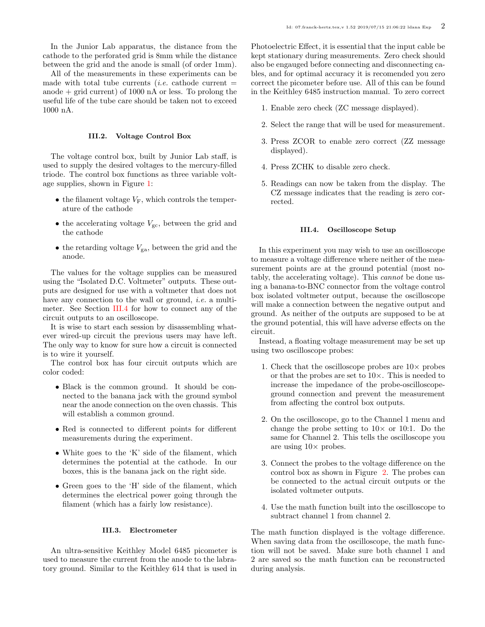In the Junior Lab apparatus, the distance from the cathode to the perforated grid is 8mm while the distance between the grid and the anode is small (of order 1mm).

All of the measurements in these experiments can be made with total tube currents (*i.e.* cathode current  $=$ anode  $+$  grid current) of 1000 nA or less. To prolong the useful life of the tube care should be taken not to exceed 1000 nA.

### III.2. Voltage Control Box

The voltage control box, built by Junior Lab staff, is used to supply the desired voltages to the mercury-filled triode. The control box functions as three variable voltage supplies, shown in Figure [1:](#page-0-1)

- the filament voltage  $V_F$ , which controls the temperature of the cathode
- the accelerating voltage  $V_{\rm gc}$ , between the grid and the cathode
- the retarding voltage  $V_{\text{ga}}$ , between the grid and the anode.

The values for the voltage supplies can be measured using the "Isolated D.C. Voltmeter" outputs. These outputs are designed for use with a voltmeter that does not have any connection to the wall or ground, *i.e.* a multimeter. See Section [III.4](#page-1-0) for how to connect any of the circuit outputs to an oscilloscope.

It is wise to start each session by disassembling whatever wired-up circuit the previous users may have left. The only way to know for sure how a circuit is connected is to wire it yourself.

The control box has four circuit outputs which are color coded:

- Black is the common ground. It should be connected to the banana jack with the ground symbol near the anode connection on the oven chassis. This will establish a common ground.
- Red is connected to different points for different measurements during the experiment.
- White goes to the 'K' side of the filament, which determines the potential at the cathode. In our boxes, this is the banana jack on the right side.
- Green goes to the 'H' side of the filament, which determines the electrical power going through the filament (which has a fairly low resistance).

#### III.3. Electrometer

An ultra-sensitive Keithley Model 6485 picometer is used to measure the current from the anode to the labratory ground. Similar to the Keithley 614 that is used in Photoelectric Effect, it is essential that the input cable be kept stationary during measurements. Zero check should also be engauged before connecting and disconnecting cables, and for optimal accuracy it is recomended you zero correct the picometer before use. All of this can be found in the Keithley 6485 instruction manual. To zero correct

- 1. Enable zero check (ZC message displayed).
- 2. Select the range that will be used for measurement.
- 3. Press ZCOR to enable zero correct (ZZ message displayed).
- 4. Press ZCHK to disable zero check.
- 5. Readings can now be taken from the display. The CZ message indicates that the reading is zero corrected.

# <span id="page-1-0"></span>III.4. Oscilloscope Setup

In this experiment you may wish to use an oscilloscope to measure a voltage difference where neither of the measurement points are at the ground potential (most notably, the accelerating voltage). This cannot be done using a banana-to-BNC connector from the voltage control box isolated voltmeter output, because the oscilloscope will make a connection between the negative output and ground. As neither of the outputs are supposed to be at the ground potential, this will have adverse effects on the circuit.

Instead, a floating voltage measurement may be set up using two oscilloscope probes:

- 1. Check that the oscilloscope probes are  $10\times$  probes or that the probes are set to  $10\times$ . This is needed to increase the impedance of the probe-oscilloscopeground connection and prevent the measurement from affecting the control box outputs.
- 2. On the oscilloscope, go to the Channel 1 menu and change the probe setting to  $10 \times$  or 10:1. Do the same for Channel 2. This tells the oscilloscope you are using  $10\times$  probes.
- 3. Connect the probes to the voltage difference on the control box as shown in Figure [2.](#page-2-0) The probes can be connected to the actual circuit outputs or the isolated voltmeter outputs.
- 4. Use the math function built into the oscilloscope to subtract channel 1 from channel 2.

The math function displayed is the voltage difference. When saving data from the oscilloscope, the math function will not be saved. Make sure both channel 1 and 2 are saved so the math function can be reconstructed during analysis.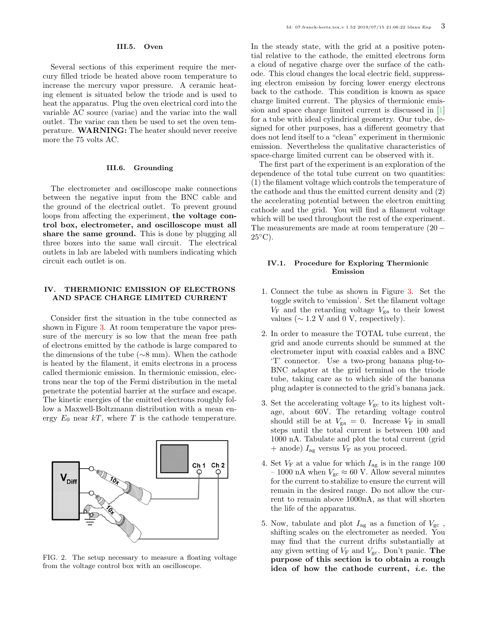Several sections of this experiment require the mercury filled triode be heated above room temperature to increase the mercury vapor pressure. A ceramic heating element is situated below the triode and is used to heat the apparatus. Plug the oven electrical cord into the variable AC source (variac) and the variac into the wall outlet. The variac can then be used to set the oven temperature. WARNING: The heater should never receive more the 75 volts AC.

### III.6. Grounding

The electrometer and oscilloscope make connections between the negative input from the BNC cable and the ground of the electrical outlet. To prevent ground loops from affecting the experiment, the voltage control box, electrometer, and oscilloscope must all share the same ground. This is done by plugging all three boxes into the same wall circuit. The electrical outlets in lab are labeled with numbers indicating which circuit each outlet is on.

# <span id="page-2-1"></span>IV. THERMIONIC EMISSION OF ELECTRONS AND SPACE CHARGE LIMITED CURRENT

Consider first the situation in the tube connected as shown in Figure [3.](#page-3-0) At room temperature the vapor pressure of the mercury is so low that the mean free path of electrons emitted by the cathode is large compared to the dimensions of the tube (∼8 mm). When the cathode is heated by the filament, it emits electrons in a process called thermionic emission. In thermionic emission, electrons near the top of the Fermi distribution in the metal penetrate the potential barrier at the surface and escape. The kinetic energies of the emitted electrons roughly follow a Maxwell-Boltzmann distribution with a mean energy  $E_0$  near  $kT$ , where T is the cathode temperature.



<span id="page-2-0"></span>FIG. 2. The setup necessary to measure a floating voltage from the voltage control box with an oscilloscope.

In the steady state, with the grid at a positive potential relative to the cathode, the emitted electrons form a cloud of negative charge over the surface of the cathode. This cloud changes the local electric field, suppressing electron emission by forcing lower energy electrons back to the cathode. This condition is known as space charge limited current. The physics of thermionic emission and space charge limited current is discussed in [\[1\]](#page-7-0) for a tube with ideal cylindrical geometry. Our tube, designed for other purposes, has a different geometry that does not lend itself to a "clean" experiment in thermionic emission. Nevertheless the qualitative characteristics of space-charge limited current can be observed with it.

The first part of the experiment is an exploration of the dependence of the total tube current on two quantities: (1) the filament voltage which controls the temperature of the cathode and thus the emitted current density and (2) the accelerating potential between the electron emitting cathode and the grid. You will find a filament voltage which will be used throughout the rest of the experiment. The measurements are made at room temperature (20 −  $25^{\circ}$ C).

# IV.1. Procedure for Exploring Thermionic Emission

- 1. Connect the tube as shown in Figure [3.](#page-3-0) Set the toggle switch to 'emission'. Set the filament voltage  $V_{\rm F}$  and the retarding voltage  $V_{\rm ga}$  to their lowest values ( $\sim 1.2$  V and 0 V, respectively).
- 2. In order to measure the TOTAL tube current, the grid and anode currents should be summed at the electrometer input with coaxial cables and a BNC 'T' connector. Use a two-prong banana plug-to-BNC adapter at the grid terminal on the triode tube, taking care as to which side of the banana plug adapter is connected to the grid's banana jack.
- 3. Set the accelerating voltage  $V_{\rm gc}$  to its highest voltage, about 60V. The retarding voltage control should still be at  $V_{\text{ga}} = 0$ . Increase  $V_{\text{F}}$  in small steps until the total current is between 100 and 1000 nA. Tabulate and plot the total current (grid  $+$  anode)  $I_{\text{ag}}$  versus  $V_{\text{F}}$  as you proceed.
- 4. Set  $V_{\rm F}$  at a value for which  $I_{\rm ag}$  is in the range  $100$ – 1000 nA when  $V_{\rm gc} \approx 60$  V. Allow several minutes for the current to stabilize to ensure the current will remain in the desired range. Do not allow the current to remain above 1000nA, as that will shorten the life of the apparatus.
- 5. Now, tabulate and plot  $I_{\text{ag}}$  as a function of  $V_{\text{gc}}$ , shifting scales on the electrometer as needed. You may find that the current drifts substantially at any given setting of  $V_F$  and  $V_{gc}$ . Don't panic. The purpose of this section is to obtain a rough idea of how the cathode current, i.e. the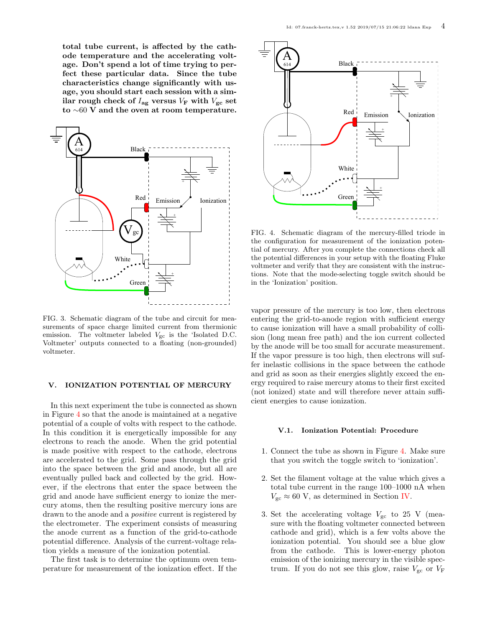total tube current, is affected by the cathode temperature and the accelerating voltage. Don't spend a lot of time trying to perfect these particular data. Since the tube characteristics change significantly with usage, you should start each session with a similar rough check of  $I_{\text{ag}}$  versus  $V_{\text{F}}$  with  $V_{\text{gc}}$  set to ∼60 V and the oven at room temperature.



<span id="page-3-0"></span>FIG. 3. Schematic diagram of the tube and circuit for measurements of space charge limited current from thermionic emission. The voltmeter labeled  $V_{\text{gc}}$  is the 'Isolated D.C. Voltmeter' outputs connected to a floating (non-grounded) voltmeter.

## <span id="page-3-2"></span>V. IONIZATION POTENTIAL OF MERCURY

In this next experiment the tube is connected as shown in Figure [4](#page-3-1) so that the anode is maintained at a negative potential of a couple of volts with respect to the cathode. In this condition it is energetically impossible for any electrons to reach the anode. When the grid potential is made positive with respect to the cathode, electrons are accelerated to the grid. Some pass through the grid into the space between the grid and anode, but all are eventually pulled back and collected by the grid. However, if the electrons that enter the space between the grid and anode have sufficient energy to ionize the mercury atoms, then the resulting positive mercury ions are drawn to the anode and a *positive* current is registered by the electrometer. The experiment consists of measuring the anode current as a function of the grid-to-cathode potential difference. Analysis of the current-voltage relation yields a measure of the ionization potential.

The first task is to determine the optimum oven temperature for measurement of the ionization effect. If the



<span id="page-3-1"></span>FIG. 4. Schematic diagram of the mercury-filled triode in the configuration for measurement of the ionization potential of mercury. After you complete the connections check all the potential differences in your setup with the floating Fluke voltmeter and verify that they are consistent with the instructions. Note that the mode-selecting toggle switch should be in the 'Ionization' position.

vapor pressure of the mercury is too low, then electrons entering the grid-to-anode region with sufficient energy to cause ionization will have a small probability of collision (long mean free path) and the ion current collected by the anode will be too small for accurate measurement. If the vapor pressure is too high, then electrons will suffer inelastic collisions in the space between the cathode and grid as soon as their energies slightly exceed the energy required to raise mercury atoms to their first excited (not ionized) state and will therefore never attain sufficient energies to cause ionization.

# V.1. Ionization Potential: Procedure

- 1. Connect the tube as shown in Figure [4.](#page-3-1) Make sure that you switch the toggle switch to 'ionization'.
- 2. Set the filament voltage at the value which gives a total tube current in the range 100–1000 nA when  $V_{\rm gc} \approx 60$  V, as determined in Section [IV.](#page-2-1)
- 3. Set the accelerating voltage  $V_{\rm gc}$  to 25 V (measure with the floating voltmeter connected between cathode and grid), which is a few volts above the ionization potential. You should see a blue glow from the cathode. This is lower-energy photon emission of the ionizing mercury in the visible spectrum. If you do not see this glow, raise  $V_{\rm gc}$  or  $V_{\rm F}$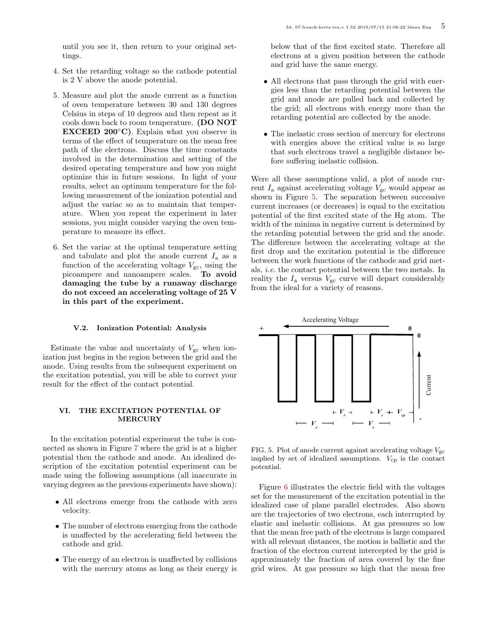until you see it, then return to your original settings.

- 4. Set the retarding voltage so the cathode potential is 2 V above the anode potential.
- 5. Measure and plot the anode current as a function of oven temperature between 30 and 130 degrees Celsius in steps of 10 degrees and then repeat as it cools down back to room temperature. (DO NOT EXCEED 200◦C). Explain what you observe in terms of the effect of temperature on the mean free path of the electrons. Discuss the time constants involved in the determination and setting of the desired operating temperature and how you might optimize this in future sessions. In light of your results, select an optimum temperature for the following measurement of the ionization potential and adjust the variac so as to maintain that temperature. When you repeat the experiment in later sessions, you might consider varying the oven temperature to measure its effect.
- 6. Set the variac at the optimal temperature setting and tabulate and plot the anode current  $I_a$  as a function of the accelerating voltage  $V_{\rm gc}$ , using the picoampere and nanoampere scales. To avoid damaging the tube by a runaway discharge do not exceed an accelerating voltage of 25 V in this part of the experiment.

#### V.2. Ionization Potential: Analysis

Estimate the value and uncertainty of  $V_{\rm gc}$  when ionization just begins in the region between the grid and the anode. Using results from the subsequent experiment on the excitation potential, you will be able to correct your result for the effect of the contact potential.

### VI. THE EXCITATION POTENTIAL OF MERCURY

In the excitation potential experiment the tube is connected as shown in Figure [7](#page-5-0) where the grid is at a higher potential then the cathode and anode. An idealized description of the excitation potential experiment can be made using the following assumptions (all inaccurate in varying degrees as the previous experiments have shown):

- All electrons emerge from the cathode with zero velocity.
- The number of electrons emerging from the cathode is unaffected by the accelerating field between the cathode and grid.
- The energy of an electron is unaffected by collisions with the mercury atoms as long as their energy is

below that of the first excited state. Therefore all electrons at a given position between the cathode and grid have the same energy.

- All electrons that pass through the grid with energies less than the retarding potential between the grid and anode are pulled back and collected by the grid; all electrons with energy more than the retarding potential are collected by the anode.
- The inelastic cross section of mercury for electrons with energies above the critical value is so large that such electrons travel a negligible distance before suffering inelastic collision.

Were all these assumptions valid, a plot of anode current  $I_a$  against accelerating voltage  $V_{gc}$  would appear as shown in Figure [5.](#page-4-0) The separation between successive current increases (or decreases) is equal to the excitation potential of the first excited state of the Hg atom. The width of the minima in negative current is determined by the retarding potential between the grid and the anode. The difference between the accelerating voltage at the first drop and the excitation potential is the difference between the work functions of the cathode and grid metals, i.e. the contact potential between the two metals. In reality the  $I_a$  versus  $V_{gc}$  curve will depart considerably from the ideal for a variety of reasons.



<span id="page-4-0"></span>FIG. 5. Plot of anode current against accelerating voltage  $V_{\text{gc}}$ implied by set of idealized assumptions.  $V_{\rm cp}$  is the contact potential.

Figure [6](#page-5-1) illustrates the electric field with the voltages set for the measurement of the excitation potential in the idealized case of plane parallel electrodes. Also shown are the trajectories of two electrons, each interrupted by elastic and inelastic collisions. At gas pressures so low that the mean free path of the electrons is large compared with all relevant distances, the motion is ballistic and the fraction of the electron current intercepted by the grid is approximately the fraction of area covered by the fine grid wires. At gas pressure so high that the mean free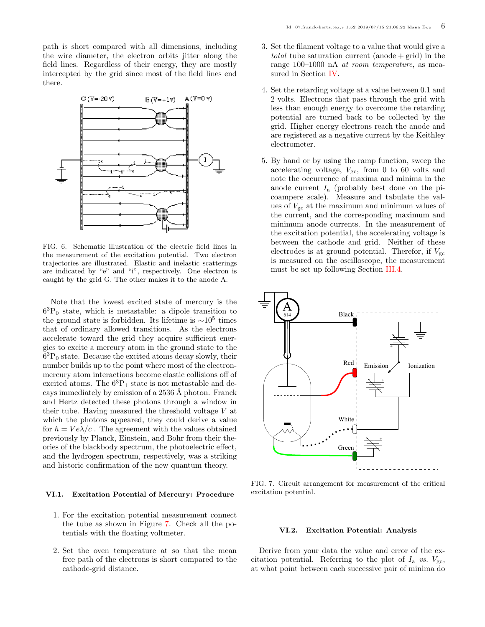path is short compared with all dimensions, including the wire diameter, the electron orbits jitter along the field lines. Regardless of their energy, they are mostly intercepted by the grid since most of the field lines end there.



<span id="page-5-1"></span>FIG. 6. Schematic illustration of the electric field lines in the measurement of the excitation potential. Two electron trajectories are illustrated. Elastic and inelastic scatterings are indicated by "e" and "i", respectively. One electron is caught by the grid G. The other makes it to the anode A.

Note that the lowest excited state of mercury is the 6 <sup>3</sup>P<sup>0</sup> state, which is metastable: a dipole transition to the ground state is forbidden. Its lifetime is  $\sim 10^5$  times that of ordinary allowed transitions. As the electrons accelerate toward the grid they acquire sufficient energies to excite a mercury atom in the ground state to the 6 <sup>3</sup>P<sup>0</sup> state. Because the excited atoms decay slowly, their number builds up to the point where most of the electronmercury atom interactions become elastic collisions off of excited atoms. The  $6^3P_1$  state is not metastable and decays immediately by emission of a 2536 Å photon. Franck and Hertz detected these photons through a window in their tube. Having measured the threshold voltage V at which the photons appeared, they could derive a value for  $h = Ve\lambda/c$ . The agreement with the values obtained previously by Planck, Einstein, and Bohr from their theories of the blackbody spectrum, the photoelectric effect, and the hydrogen spectrum, respectively, was a striking and historic confirmation of the new quantum theory.

#### VI.1. Excitation Potential of Mercury: Procedure

- 1. For the excitation potential measurement connect the tube as shown in Figure [7.](#page-5-0) Check all the potentials with the floating voltmeter.
- 2. Set the oven temperature at so that the mean free path of the electrons is short compared to the cathode-grid distance.
- 3. Set the filament voltage to a value that would give a *total* tube saturation current (anode  $+$  grid) in the range 100–1000 nA at room temperature, as measured in Section [IV.](#page-2-1)
- 4. Set the retarding voltage at a value between 0.1 and 2 volts. Electrons that pass through the grid with less than enough energy to overcome the retarding potential are turned back to be collected by the grid. Higher energy electrons reach the anode and are registered as a negative current by the Keithley electrometer.
- 5. By hand or by using the ramp function, sweep the accelerating voltage,  $V_{\text{gc}}$ , from 0 to 60 volts and note the occurrence of maxima and minima in the anode current  $I_a$  (probably best done on the picoampere scale). Measure and tabulate the values of  $V_{\rm gc}$  at the maximum and minimum values of the current, and the corresponding maximum and minimum anode currents. In the measurement of the excitation potential, the accelerating voltage is between the cathode and grid. Neither of these electrodes is at ground potential. Therefor, if  $V_{\rm gc}$ is measured on the oscilloscope, the measurement must be set up following Section [III.4.](#page-1-0)



<span id="page-5-0"></span>FIG. 7. Circuit arrangement for measurement of the critical excitation potential.

### VI.2. Excitation Potential: Analysis

Derive from your data the value and error of the excitation potential. Referring to the plot of  $I_a$  vs.  $V_{gc}$ , at what point between each successive pair of minima do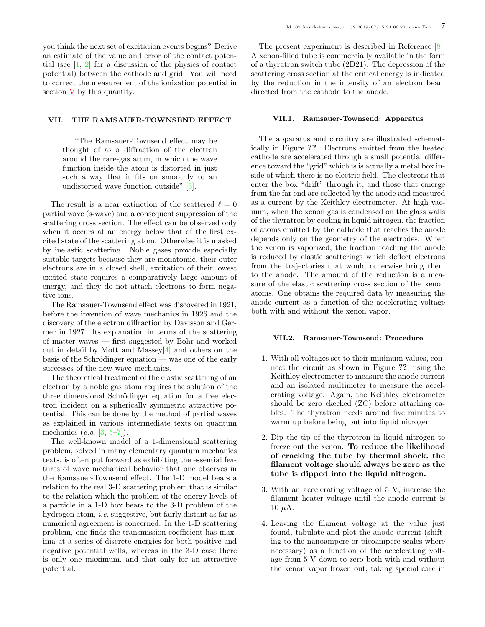you think the next set of excitation events begins? Derive an estimate of the value and error of the contact potential (see [\[1,](#page-7-0) [2\]](#page-7-1) for a discussion of the physics of contact potential) between the cathode and grid. You will need to correct the measurement of the ionization potential in section [V](#page-3-2) by this quantity.

### <span id="page-6-0"></span>VII. THE RAMSAUER-TOWNSEND EFFECT

"The Ramsauer-Townsend effect may be thought of as a diffraction of the electron around the rare-gas atom, in which the wave function inside the atom is distorted in just such a way that it fits on smoothly to an undistorted wave function outside" [\[3\]](#page-7-2).

The result is a near extinction of the scattered  $\ell = 0$ partial wave (s-wave) and a consequent suppression of the scattering cross section. The effect can be observed only when it occurs at an energy below that of the first excited state of the scattering atom. Otherwise it is masked by inelastic scattering. Noble gases provide especially suitable targets because they are monatomic, their outer electrons are in a closed shell, excitation of their lowest excited state requires a comparatively large amount of energy, and they do not attach electrons to form negative ions.

The Ramsauer-Townsend effect was discovered in 1921, before the invention of wave mechanics in 1926 and the discovery of the electron diffraction by Davisson and Germer in 1927. Its explanation in terms of the scattering of matter waves — first suggested by Bohr and worked out in detail by Mott and Massey[\[4\]](#page-7-3) and others on the basis of the Schrödinger equation — was one of the early successes of the new wave mechanics.

The theoretical treatment of the elastic scattering of an electron by a noble gas atom requires the solution of the three dimensional Schrödinger equation for a free electron incident on a spherically symmetric attractive potential. This can be done by the method of partial waves as explained in various intermediate texts on quantum mechanics  $(e.g. [3, 5-7])$  $(e.g. [3, 5-7])$  $(e.g. [3, 5-7])$  $(e.g. [3, 5-7])$  $(e.g. [3, 5-7])$ .

The well-known model of a 1-dimensional scattering problem, solved in many elementary quantum mechanics texts, is often put forward as exhibiting the essential features of wave mechanical behavior that one observes in the Ramsauer-Townsend effect. The 1-D model bears a relation to the real 3-D scattering problem that is similar to the relation which the problem of the energy levels of a particle in a 1-D box bears to the 3-D problem of the hydrogen atom, *i.e.* suggestive, but fairly distant as far as numerical agreement is concerned. In the 1-D scattering problem, one finds the transmission coefficient has maxima at a series of discrete energies for both positive and negative potential wells, whereas in the 3-D case there is only one maximum, and that only for an attractive potential.

The present experiment is described in Reference [\[8\]](#page-7-6). A xenon-filled tube is commercially available in the form of a thyratron switch tube (2D21). The depression of the scattering cross section at the critical energy is indicated by the reduction in the intensity of an electron beam directed from the cathode to the anode.

### VII.1. Ramsauer-Townsend: Apparatus

The apparatus and circuitry are illustrated schematically in Figure ??. Electrons emitted from the heated cathode are accelerated through a small potential difference toward the "grid" which is is actually a metal box inside of which there is no electric field. The electrons that enter the box "drift" through it, and those that emerge from the far end are collected by the anode and measured as a current by the Keithley electrometer. At high vacuum, when the xenon gas is condensed on the glass walls of the thyratron by cooling in liquid nitrogen, the fraction of atoms emitted by the cathode that reaches the anode depends only on the geometry of the electrodes. When the xenon is vaporized, the fraction reaching the anode is reduced by elastic scatterings which deflect electrons from the trajectories that would otherwise bring them to the anode. The amount of the reduction is a measure of the elastic scattering cross section of the xenon atoms. One obtains the required data by measuring the anode current as a function of the accelerating voltage both with and without the xenon vapor.

# VII.2. Ramsauer-Townsend: Procedure

- 1. With all voltages set to their minimum values, connect the circuit as shown in Figure ??, using the Keithley electrometer to measure the anode current and an isolated multimeter to measure the accelerating voltage. Again, the Keithley electrometer should be zero ckecked (ZC) before attaching cables. The thyratron needs around five minutes to warm up before being put into liquid nitrogen.
- 2. Dip the tip of the thyrotron in liquid nitrogen to freeze out the xenon. To reduce the likelihood of cracking the tube by thermal shock, the filament voltage should always be zero as the tube is dipped into the liquid nitrogen.
- 3. With an accelerating voltage of 5 V, increase the filament heater voltage until the anode current is  $10 \mu A$ .
- 4. Leaving the filament voltage at the value just found, tabulate and plot the anode current (shifting to the nanoampere or picoampere scales where necessary) as a function of the accelerating voltage from 5 V down to zero both with and without the xenon vapor frozen out, taking special care in